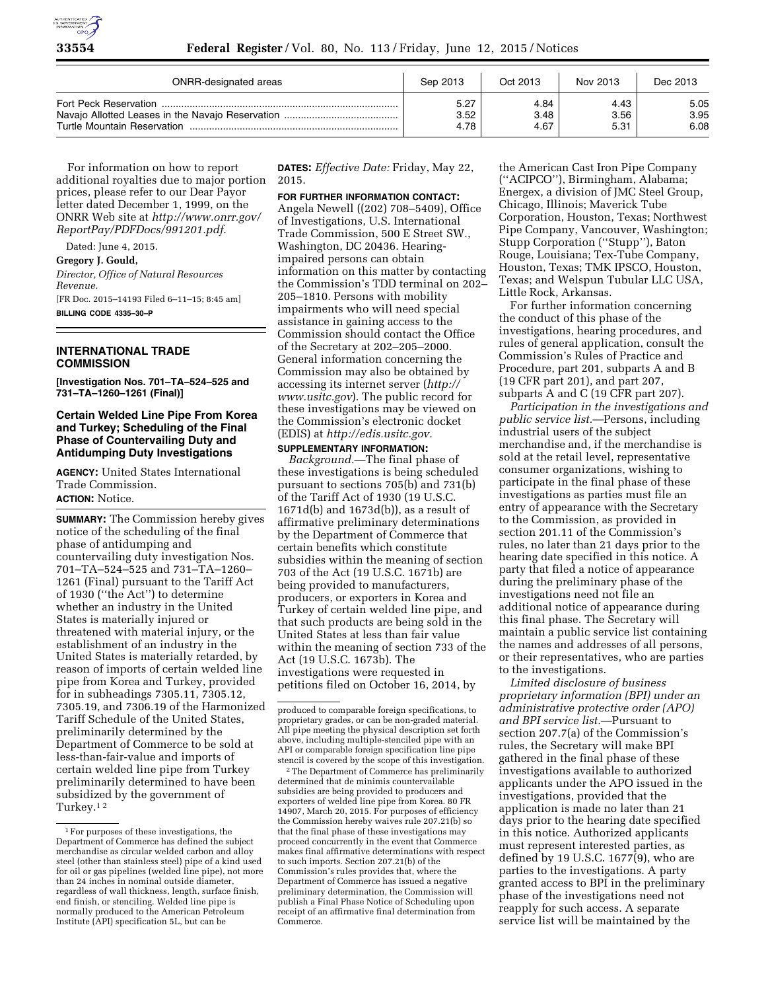

| ONRR-designated areas | Sep 2013 | Oct 2013 | Nov 2013 | Dec 2013 |
|-----------------------|----------|----------|----------|----------|
|                       | 5.27     | 4.84     | 4.43     | 5.05     |
|                       | 3.52     | 3.48     | 3.56     | 3.95     |
|                       | 4.78     | 4.67     | 5.31     | 6.08     |

For information on how to report additional royalties due to major portion prices, please refer to our Dear Payor letter dated December 1, 1999, on the ONRR Web site at *[http://www.onrr.gov/](http://www.onrr.gov/ReportPay/PDFDocs/991201.pdf)  [ReportPay/PDFDocs/991201.pdf](http://www.onrr.gov/ReportPay/PDFDocs/991201.pdf)*.

Dated: June 4, 2015. **Gregory J. Gould,**  *Director, Office of Natural Resources Revenue.*  [FR Doc. 2015–14193 Filed 6–11–15; 8:45 am] **BILLING CODE 4335–30–P** 

# **INTERNATIONAL TRADE COMMISSION**

**[Investigation Nos. 701–TA–524–525 and 731–TA–1260–1261 (Final)]** 

### **Certain Welded Line Pipe From Korea and Turkey; Scheduling of the Final Phase of Countervailing Duty and Antidumping Duty Investigations**

**AGENCY:** United States International Trade Commission. **ACTION:** Notice.

**SUMMARY:** The Commission hereby gives notice of the scheduling of the final phase of antidumping and countervailing duty investigation Nos. 701–TA–524–525 and 731–TA–1260– 1261 (Final) pursuant to the Tariff Act of 1930 (''the Act'') to determine whether an industry in the United States is materially injured or threatened with material injury, or the establishment of an industry in the United States is materially retarded, by reason of imports of certain welded line pipe from Korea and Turkey, provided for in subheadings 7305.11, 7305.12, 7305.19, and 7306.19 of the Harmonized Tariff Schedule of the United States, preliminarily determined by the Department of Commerce to be sold at less-than-fair-value and imports of certain welded line pipe from Turkey preliminarily determined to have been subsidized by the government of Turkey.1 2

**DATES:** *Effective Date:* Friday, May 22, 2015.

# **FOR FURTHER INFORMATION CONTACT:**

Angela Newell ((202) 708–5409), Office of Investigations, U.S. International Trade Commission, 500 E Street SW., Washington, DC 20436. Hearingimpaired persons can obtain information on this matter by contacting the Commission's TDD terminal on 202– 205–1810. Persons with mobility impairments who will need special assistance in gaining access to the Commission should contact the Office of the Secretary at 202–205–2000. General information concerning the Commission may also be obtained by accessing its internet server (*[http://](http://www.usitc.gov)  [www.usitc.gov](http://www.usitc.gov)*). The public record for these investigations may be viewed on the Commission's electronic docket (EDIS) at *[http://edis.usitc.gov.](http://edis.usitc.gov)* 

**SUPPLEMENTARY INFORMATION:**  *Background.*—The final phase of these investigations is being scheduled pursuant to sections 705(b) and 731(b) of the Tariff Act of 1930 (19 U.S.C. 1671d(b) and 1673d(b)), as a result of affirmative preliminary determinations by the Department of Commerce that certain benefits which constitute subsidies within the meaning of section 703 of the Act (19 U.S.C. 1671b) are being provided to manufacturers, producers, or exporters in Korea and Turkey of certain welded line pipe, and that such products are being sold in the United States at less than fair value within the meaning of section 733 of the Act (19 U.S.C. 1673b). The investigations were requested in petitions filed on October 16, 2014, by

2The Department of Commerce has preliminarily determined that de minimis countervailable subsidies are being provided to producers and exporters of welded line pipe from Korea. 80 FR 14907, March 20, 2015. For purposes of efficiency the Commission hereby waives rule 207.21(b) so that the final phase of these investigations may proceed concurrently in the event that Commerce makes final affirmative determinations with respect to such imports. Section 207.21(b) of the Commission's rules provides that, where the Department of Commerce has issued a negative preliminary determination, the Commission will publish a Final Phase Notice of Scheduling upon receipt of an affirmative final determination from Commerce.

the American Cast Iron Pipe Company (''ACIPCO''), Birmingham, Alabama; Energex, a division of JMC Steel Group, Chicago, Illinois; Maverick Tube Corporation, Houston, Texas; Northwest Pipe Company, Vancouver, Washington; Stupp Corporation (''Stupp''), Baton Rouge, Louisiana; Tex-Tube Company, Houston, Texas; TMK IPSCO, Houston, Texas; and Welspun Tubular LLC USA, Little Rock, Arkansas.

For further information concerning the conduct of this phase of the investigations, hearing procedures, and rules of general application, consult the Commission's Rules of Practice and Procedure, part 201, subparts A and B (19 CFR part 201), and part 207, subparts A and C (19 CFR part 207).

*Participation in the investigations and public service list.*—Persons, including industrial users of the subject merchandise and, if the merchandise is sold at the retail level, representative consumer organizations, wishing to participate in the final phase of these investigations as parties must file an entry of appearance with the Secretary to the Commission, as provided in section 201.11 of the Commission's rules, no later than 21 days prior to the hearing date specified in this notice. A party that filed a notice of appearance during the preliminary phase of the investigations need not file an additional notice of appearance during this final phase. The Secretary will maintain a public service list containing the names and addresses of all persons, or their representatives, who are parties to the investigations.

*Limited disclosure of business proprietary information (BPI) under an administrative protective order (APO) and BPI service list.*—Pursuant to section 207.7(a) of the Commission's rules, the Secretary will make BPI gathered in the final phase of these investigations available to authorized applicants under the APO issued in the investigations, provided that the application is made no later than 21 days prior to the hearing date specified in this notice. Authorized applicants must represent interested parties, as defined by 19 U.S.C. 1677(9), who are parties to the investigations. A party granted access to BPI in the preliminary phase of the investigations need not reapply for such access. A separate service list will be maintained by the

<sup>1</sup>For purposes of these investigations, the Department of Commerce has defined the subject merchandise as circular welded carbon and alloy steel (other than stainless steel) pipe of a kind used for oil or gas pipelines (welded line pipe), not more than 24 inches in nominal outside diameter, regardless of wall thickness, length, surface finish, end finish, or stenciling. Welded line pipe is normally produced to the American Petroleum Institute (API) specification 5L, but can be

produced to comparable foreign specifications, to proprietary grades, or can be non-graded material. All pipe meeting the physical description set forth above, including multiple-stenciled pipe with an API or comparable foreign specification line pipe stencil is covered by the scope of this investigation.